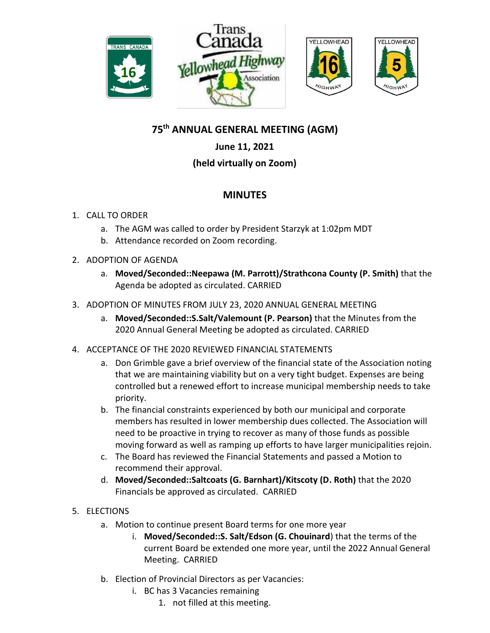

# **YELLOWHEAD**

# **75th ANNUAL GENERAL MEETING (AGM)**

### **June 11, 2021**

### **(held virtually on Zoom)**

## **MINUTES**

### 1. CALL TO ORDER

- a. The AGM was called to order by President Starzyk at 1:02pm MDT
- b. Attendance recorded on Zoom recording.
- 2. ADOPTION OF AGENDA
	- a. **Moved/Seconded::Neepawa (M. Parrott)/Strathcona County (P. Smith)** that the Agenda be adopted as circulated. CARRIED
- 3. ADOPTION OF MINUTES FROM JULY 23, 2020 ANNUAL GENERAL MEETING
	- a. **Moved/Seconded::S.Salt/Valemount (P. Pearson)** that the Minutes from the 2020 Annual General Meeting be adopted as circulated. CARRIED
- 4. ACCEPTANCE OF THE 2020 REVIEWED FINANCIAL STATEMENTS
	- a. Don Grimble gave a brief overview of the financial state of the Association noting that we are maintaining viability but on a very tight budget. Expenses are being controlled but a renewed effort to increase municipal membership needs to take priority.
	- b. The financial constraints experienced by both our municipal and corporate members has resulted in lower membership dues collected. The Association will need to be proactive in trying to recover as many of those funds as possible moving forward as well as ramping up efforts to have larger municipalities rejoin.
	- c. The Board has reviewed the Financial Statements and passed a Motion to recommend their approval.
	- d. **Moved/Seconded::Saltcoats (G. Barnhart)/Kitscoty (D. Roth)** that the 2020 Financials be approved as circulated. CARRIED
- 5. ELECTIONS
	- a. Motion to continue present Board terms for one more year
		- i. **Moved/Seconded::S. Salt/Edson (G. Chouinard**) that the terms of the current Board be extended one more year, until the 2022 Annual General Meeting. CARRIED
	- b. Election of Provincial Directors as per Vacancies:
		- i. BC has 3 Vacancies remaining
			- 1. not filled at this meeting.